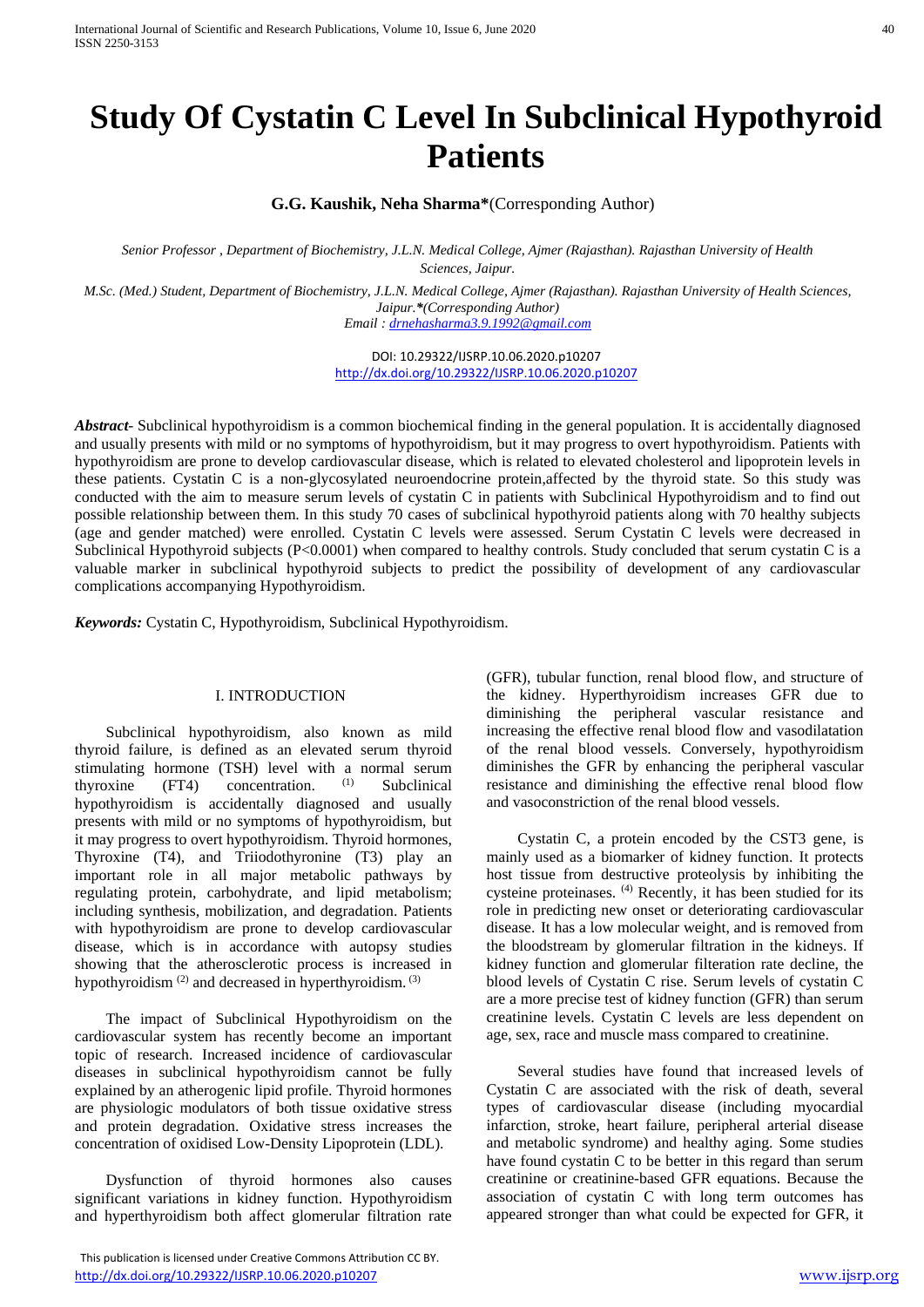# **Study Of Cystatin C Level In Subclinical Hypothyroid Patients**

**G.G. Kaushik, Neha Sharma\***(Corresponding Author)

*Senior Professor , Department of Biochemistry, J.L.N. Medical College, Ajmer (Rajasthan). Rajasthan University of Health Sciences, Jaipur.*

*M.Sc. (Med.) Student, Department of Biochemistry, J.L.N. Medical College, Ajmer (Rajasthan). Rajasthan University of Health Sciences, Jaipur.\*(Corresponding Author) Email : [drnehasharma3.9.1992@gmail.com](mailto:drnehasharma3.9.1992@gmail.com)*

> DOI: 10.29322/IJSRP.10.06.2020.p10207 <http://dx.doi.org/10.29322/IJSRP.10.06.2020.p10207>

*Abstract*- Subclinical hypothyroidism is a common biochemical finding in the general population. It is accidentally diagnosed and usually presents with mild or no symptoms of hypothyroidism, but it may progress to overt hypothyroidism. Patients with hypothyroidism are prone to develop cardiovascular disease, which is related to elevated cholesterol and lipoprotein levels in these patients. Cystatin C is a non-glycosylated neuroendocrine protein,affected by the thyroid state. So this study was conducted with the aim to measure serum levels of cystatin C in patients with Subclinical Hypothyroidism and to find out possible relationship between them. In this study 70 cases of subclinical hypothyroid patients along with 70 healthy subjects (age and gender matched) were enrolled. Cystatin C levels were assessed. Serum Cystatin C levels were decreased in Subclinical Hypothyroid subjects (P<0.0001) when compared to healthy controls. Study concluded that serum cystatin C is a valuable marker in subclinical hypothyroid subjects to predict the possibility of development of any cardiovascular complications accompanying Hypothyroidism.

*Keywords:* Cystatin C, Hypothyroidism, Subclinical Hypothyroidism.

#### I. INTRODUCTION

 Subclinical hypothyroidism, also known as mild thyroid failure, is defined as an elevated serum thyroid stimulating hormone (TSH) level with a normal serum thyroxine (FT4) concentration. (1) Subclinical hypothyroidism is accidentally diagnosed and usually presents with mild or no symptoms of hypothyroidism, but it may progress to overt hypothyroidism. Thyroid hormones, Thyroxine (T4), and Triiodothyronine (T3) play an important role in all major metabolic pathways by regulating protein, carbohydrate, and lipid metabolism; including synthesis, mobilization, and degradation. Patients with hypothyroidism are prone to develop cardiovascular disease, which is in accordance with autopsy studies showing that the atherosclerotic process is increased in hypothyroidism <sup>(2)</sup> and decreased in hyperthyroidism. <sup>(3)</sup>

 The impact of Subclinical Hypothyroidism on the cardiovascular system has recently become an important topic of research. Increased incidence of cardiovascular diseases in subclinical hypothyroidism cannot be fully explained by an atherogenic lipid profile. Thyroid hormones are physiologic modulators of both tissue oxidative stress and protein degradation. Oxidative stress increases the concentration of oxidised Low-Density Lipoprotein (LDL).

 Dysfunction of thyroid hormones also causes significant variations in kidney function. Hypothyroidism and hyperthyroidism both affect glomerular filtration rate

 This publication is licensed under Creative Commons Attribution CC BY. <http://dx.doi.org/10.29322/IJSRP.10.06.2020.p10207> [www.ijsrp.org](http://ijsrp.org/)

(GFR), tubular function, renal blood flow, and structure of the kidney. Hyperthyroidism increases GFR due to diminishing the peripheral vascular resistance and increasing the effective renal blood flow and vasodilatation of the renal blood vessels. Conversely, hypothyroidism diminishes the GFR by enhancing the peripheral vascular resistance and diminishing the effective renal blood flow and vasoconstriction of the renal blood vessels.

 Cystatin C, a protein encoded by the CST3 gene, is mainly used as a biomarker of kidney function. It protects host tissue from destructive proteolysis by inhibiting the cysteine proteinases. (4) Recently, it has been studied for its role in predicting new onset or deteriorating cardiovascular disease. It has a low molecular weight, and is removed from the bloodstream by glomerular filtration in the kidneys. If kidney function and glomerular filteration rate decline, the blood levels of Cystatin C rise. Serum levels of cystatin C are a more precise test of kidney function (GFR) than serum creatinine levels. Cystatin C levels are less dependent on age, sex, race and muscle mass compared to creatinine.

 Several studies have found that increased levels of Cystatin C are associated with the risk of death, several types of cardiovascular disease (including myocardial infarction, stroke, heart failure, peripheral arterial disease and metabolic syndrome) and healthy aging. Some studies have found cystatin C to be better in this regard than serum creatinine or creatinine-based GFR equations. Because the association of cystatin C with long term outcomes has appeared stronger than what could be expected for GFR, it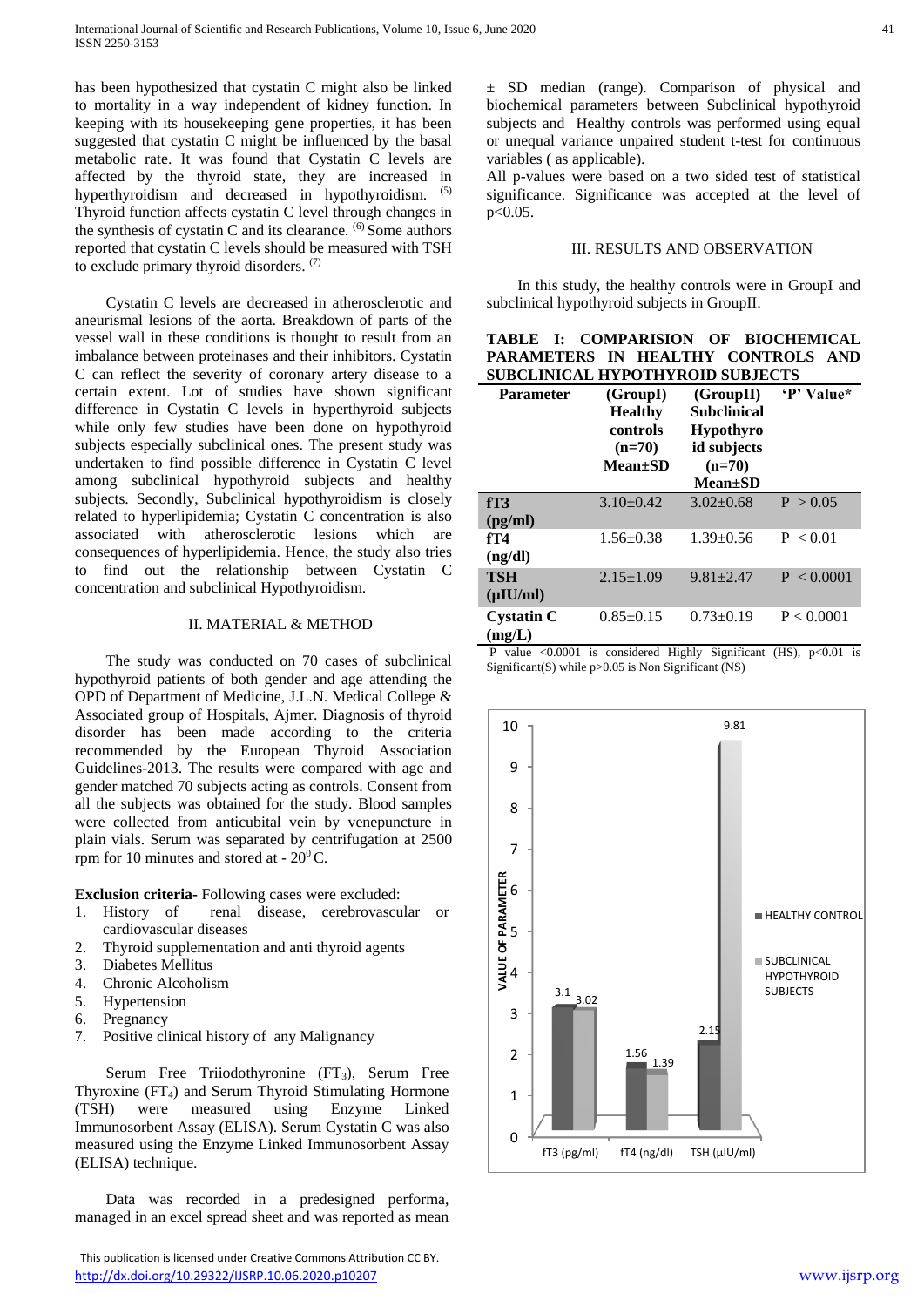has been hypothesized that cystatin C might also be linked to mortality in a way independent of kidney function. In keeping with its housekeeping gene properties, it has been suggested that cystatin C might be influenced by the basal metabolic rate. It was found that Cystatin C levels are affected by the thyroid state, they are increased in hyperthyroidism and decreased in hypothyroidism. (5) Thyroid function affects cystatin C level through changes in the synthesis of cystatin C and its clearance.  $(6)$  Some authors reported that cystatin C levels should be measured with TSH to exclude primary thyroid disorders. (7)

 Cystatin C levels are decreased in atherosclerotic and aneurismal lesions of the aorta. Breakdown of parts of the vessel wall in these conditions is thought to result from an imbalance between proteinases and their inhibitors. Cystatin C can reflect the severity of coronary artery disease to a certain extent. Lot of studies have shown significant difference in Cystatin C levels in hyperthyroid subjects while only few studies have been done on hypothyroid subjects especially subclinical ones. The present study was undertaken to find possible difference in Cystatin C level among subclinical hypothyroid subjects and healthy subjects. Secondly, Subclinical hypothyroidism is closely related to hyperlipidemia; Cystatin C concentration is also associated with atherosclerotic lesions which are consequences of hyperlipidemia. Hence, the study also tries to find out the relationship between Cystatin C concentration and subclinical Hypothyroidism.

#### II. MATERIAL & METHOD

 The study was conducted on 70 cases of subclinical hypothyroid patients of both gender and age attending the OPD of Department of Medicine, J.L.N. Medical College & Associated group of Hospitals, Ajmer. Diagnosis of thyroid disorder has been made according to the criteria recommended by the European Thyroid Association Guidelines-2013. The results were compared with age and gender matched 70 subjects acting as controls. Consent from all the subjects was obtained for the study. Blood samples were collected from anticubital vein by venepuncture in plain vials. Serum was separated by centrifugation at 2500 rpm for 10 minutes and stored at -  $20^0$ C.

**Exclusion criteria-** Following cases were excluded:

- 1. History of renal disease, cerebrovascular or cardiovascular diseases
- 2. Thyroid supplementation and anti thyroid agents
- 3. Diabetes Mellitus
- 4. Chronic Alcoholism
- 5. Hypertension
- 6. Pregnancy
- 7. Positive clinical history of any Malignancy

Serum Free Triiodothyronine (FT<sub>3</sub>), Serum Free Thyroxine (FT4) and Serum Thyroid Stimulating Hormone (TSH) were measured using Enzyme Linked Immunosorbent Assay (ELISA). Serum Cystatin C was also measured using the Enzyme Linked Immunosorbent Assay (ELISA) technique.

 Data was recorded in a predesigned performa, managed in an excel spread sheet and was reported as mean

 This publication is licensed under Creative Commons Attribution CC BY. <http://dx.doi.org/10.29322/IJSRP.10.06.2020.p10207> [www.ijsrp.org](http://ijsrp.org/)

± SD median (range). Comparison of physical and biochemical parameters between Subclinical hypothyroid subjects and Healthy controls was performed using equal or unequal variance unpaired student t-test for continuous variables ( as applicable).

All p-values were based on a two sided test of statistical significance. Significance was accepted at the level of p<0.05.

#### III. RESULTS AND OBSERVATION

 In this study, the healthy controls were in GroupI and subclinical hypothyroid subjects in GroupII.

| TABLE I: COMPARISION OF BIOCHEMICAL |  |  |  |  |  |
|-------------------------------------|--|--|--|--|--|
| PARAMETERS IN HEALTHY CONTROLS AND  |  |  |  |  |  |
| SUBCLINICAL HYPOTHYROID SUBJECTS    |  |  |  |  |  |

| Parameter                    | (GroupI)<br><b>Healthy</b><br>controls<br>$(n=70)$<br><b>Mean</b> ±SD | (GroupII)<br><b>Subclinical</b><br><b>Hypothyro</b><br>id subjects<br>$(n=70)$<br><b>Mean</b> ±SD | 'P' Value* |
|------------------------------|-----------------------------------------------------------------------|---------------------------------------------------------------------------------------------------|------------|
| fT3<br>(pg/ml)               | $3.10+0.42$                                                           | $3.02 + 0.68$                                                                                     | P > 0.05   |
| fT4<br>(ng/dl)               | $1.56 \pm 0.38$                                                       | $1.39 \pm 0.56$                                                                                   | P < 0.01   |
| <b>TSH</b><br>$(\mu I U/ml)$ | $2.15 \pm 1.09$                                                       | $9.81 + 2.47$                                                                                     | P < 0.0001 |
| <b>Cystatin C</b><br>(mg/L)  | $0.85 \pm 0.15$                                                       | $0.73 \pm 0.19$                                                                                   | P < 0.0001 |

P value  $\leq 0.0001$  is considered Highly Significant (HS), p $\leq 0.01$  is Significant(S) while  $p > 0.05$  is Non Significant (NS)

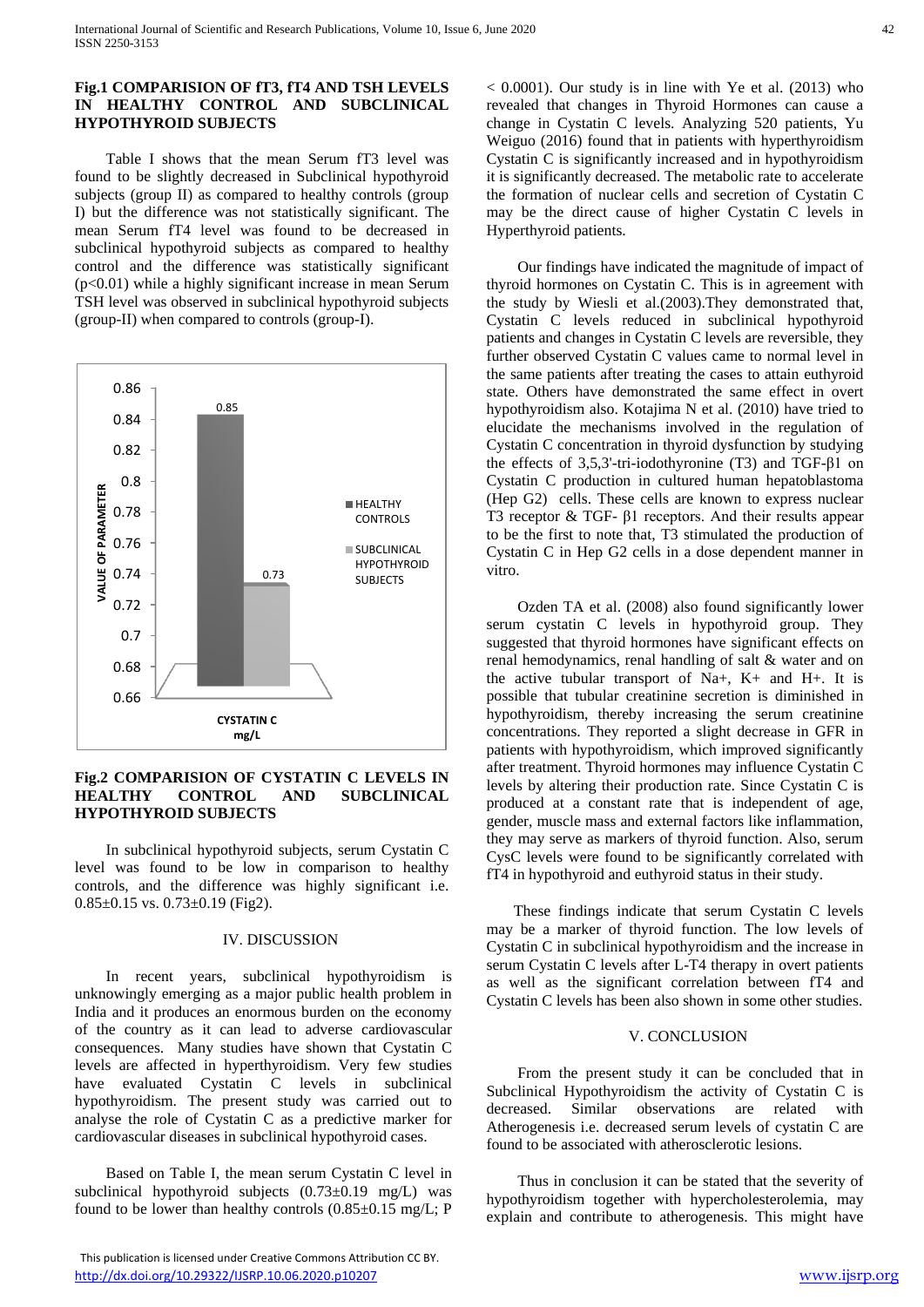## **Fig.1 COMPARISION OF fT3, fT4 AND TSH LEVELS IN HEALTHY CONTROL AND SUBCLINICAL HYPOTHYROID SUBJECTS**

 Table I shows that the mean Serum fT3 level was found to be slightly decreased in Subclinical hypothyroid subjects (group II) as compared to healthy controls (group I) but the difference was not statistically significant. The mean Serum fT4 level was found to be decreased in subclinical hypothyroid subjects as compared to healthy control and the difference was statistically significant (p<0.01) while a highly significant increase in mean Serum TSH level was observed in subclinical hypothyroid subjects (group-II) when compared to controls (group-I).



## **Fig.2 COMPARISION OF CYSTATIN C LEVELS IN HEALTHY CONTROL AND SUBCLINICAL HYPOTHYROID SUBJECTS**

 In subclinical hypothyroid subjects, serum Cystatin C level was found to be low in comparison to healthy controls, and the difference was highly significant i.e.  $0.85 \pm 0.15$  vs.  $0.73 \pm 0.19$  (Fig2).

## IV. DISCUSSION

 In recent years, subclinical hypothyroidism is unknowingly emerging as a major public health problem in India and it produces an enormous burden on the economy of the country as it can lead to adverse cardiovascular consequences. Many studies have shown that Cystatin C levels are affected in hyperthyroidism. Very few studies have evaluated Cystatin C levels in subclinical hypothyroidism. The present study was carried out to analyse the role of Cystatin C as a predictive marker for cardiovascular diseases in subclinical hypothyroid cases.

 Based on Table I, the mean serum Cystatin C level in subclinical hypothyroid subjects  $(0.73\pm0.19 \text{ mg/L})$  was found to be lower than healthy controls  $(0.85\pm0.15 \text{ mg/L}; P)$ 

 This publication is licensed under Creative Commons Attribution CC BY. <http://dx.doi.org/10.29322/IJSRP.10.06.2020.p10207> [www.ijsrp.org](http://ijsrp.org/)

 $< 0.0001$ ). Our study is in line with Ye et al. (2013) who revealed that changes in Thyroid Hormones can cause a change in Cystatin C levels. Analyzing 520 patients, Yu Weiguo (2016) found that in patients with hyperthyroidism Cystatin C is significantly increased and in hypothyroidism it is significantly decreased. The metabolic rate to accelerate the formation of nuclear cells and secretion of Cystatin C may be the direct cause of higher Cystatin C levels in Hyperthyroid patients.

 Our findings have indicated the magnitude of impact of thyroid hormones on Cystatin C. This is in agreement with the study by Wiesli et al.(2003).They demonstrated that, Cystatin C levels reduced in subclinical hypothyroid patients and changes in Cystatin C levels are reversible, they further observed Cystatin C values came to normal level in the same patients after treating the cases to attain euthyroid state. Others have demonstrated the same effect in overt hypothyroidism also. Kotajima N et al. (2010) have tried to elucidate the mechanisms involved in the regulation of Cystatin C concentration in thyroid dysfunction by studying the effects of 3,5,3'-tri-iodothyronine (T3) and TGF-β1 on Cystatin C production in cultured human hepatoblastoma (Hep G2) cells. These cells are known to express nuclear T3 receptor & TGF- β1 receptors. And their results appear to be the first to note that, T3 stimulated the production of Cystatin C in Hep G2 cells in a dose dependent manner in vitro.

 Ozden TA et al. (2008) also found significantly lower serum cystatin C levels in hypothyroid group. They suggested that thyroid hormones have significant effects on renal hemodynamics, renal handling of salt & water and on the active tubular transport of Na+,  $K$ + and H+. It is possible that tubular creatinine secretion is diminished in hypothyroidism, thereby increasing the serum creatinine concentrations. They reported a slight decrease in GFR in patients with hypothyroidism, which improved significantly after treatment. Thyroid hormones may influence Cystatin C levels by altering their production rate. Since Cystatin C is produced at a constant rate that is independent of age, gender, muscle mass and external factors like inflammation, they may serve as markers of thyroid function. Also, serum CysC levels were found to be significantly correlated with fT4 in hypothyroid and euthyroid status in their study.

 These findings indicate that serum Cystatin C levels may be a marker of thyroid function. The low levels of Cystatin C in subclinical hypothyroidism and the increase in serum Cystatin C levels after L-T4 therapy in overt patients as well as the significant correlation between fT4 and Cystatin C levels has been also shown in some other studies.

## V. CONCLUSION

 From the present study it can be concluded that in Subclinical Hypothyroidism the activity of Cystatin C is decreased. Similar observations are related with Atherogenesis i.e. decreased serum levels of cystatin C are found to be associated with atherosclerotic lesions.

 Thus in conclusion it can be stated that the severity of hypothyroidism together with hypercholesterolemia, may explain and contribute to atherogenesis. This might have